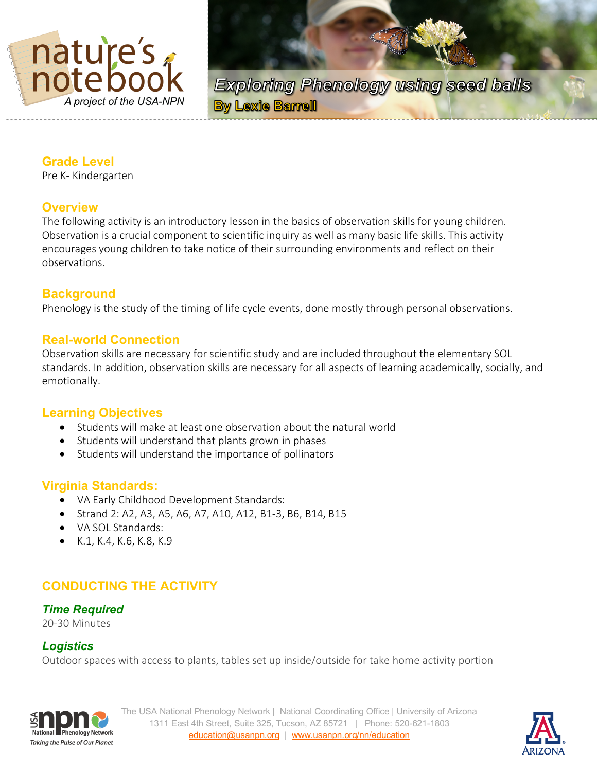

**Exploring Phenology using seed balls By Lexie Barrell** 

## **Grade Level**

Pre K- Kindergarten

## **Overview**

The following activity is an introductory lesson in the basics of observation skills for young children. Observation is a crucial component to scientific inquiry as well as many basic life skills. This activity encourages young children to take notice of their surrounding environments and reflect on their observations.

## **Background**

Phenology is the study of the timing of life cycle events, done mostly through personal observations.

## **Real-world Connection**

Observation skills are necessary for scientific study and are included throughout the elementary SOL standards. In addition, observation skills are necessary for all aspects of learning academically, socially, and emotionally.

## **Learning Objectives**

- Students will make at least one observation about the natural world
- Students will understand that plants grown in phases
- Students will understand the importance of pollinators

#### **Virginia Standards:**

- VA Early Childhood Development Standards:
- Strand 2: A2, A3, A5, A6, A7, A10, A12, B1-3, B6, B14, B15
- VA SOL Standards:
- K.1, K.4, K.6, K.8, K.9

# **CONDUCTING THE ACTIVITY**

#### *Time Required*

20-30 Minutes

## *Logistics*

Outdoor spaces with access to plants, tables set up inside/outside for take home activity portion



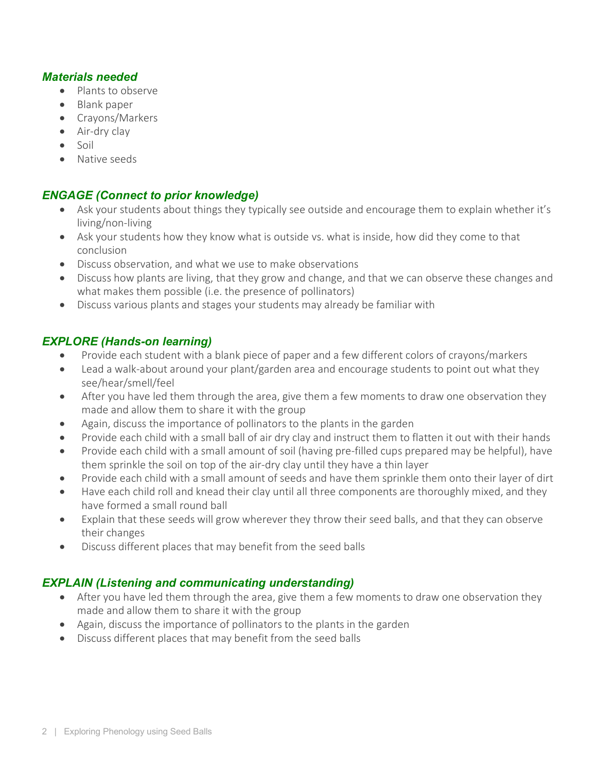#### *Materials needed*

- Plants to observe
- Blank paper
- Crayons/Markers
- Air-dry clay
- Soil
- Native seeds

# *ENGAGE (Connect to prior knowledge)*

- Ask your students about things they typically see outside and encourage them to explain whether it's living/non-living
- Ask your students how they know what is outside vs. what is inside, how did they come to that conclusion
- Discuss observation, and what we use to make observations
- Discuss how plants are living, that they grow and change, and that we can observe these changes and what makes them possible (i.e. the presence of pollinators)
- Discuss various plants and stages your students may already be familiar with

## *EXPLORE (Hands-on learning)*

- Provide each student with a blank piece of paper and a few different colors of crayons/markers
- Lead a walk-about around your plant/garden area and encourage students to point out what they see/hear/smell/feel
- After you have led them through the area, give them a few moments to draw one observation they made and allow them to share it with the group
- Again, discuss the importance of pollinators to the plants in the garden
- Provide each child with a small ball of air dry clay and instruct them to flatten it out with their hands
- Provide each child with a small amount of soil (having pre-filled cups prepared may be helpful), have them sprinkle the soil on top of the air-dry clay until they have a thin layer
- Provide each child with a small amount of seeds and have them sprinkle them onto their layer of dirt
- Have each child roll and knead their clay until all three components are thoroughly mixed, and they have formed a small round ball
- Explain that these seeds will grow wherever they throw their seed balls, and that they can observe their changes
- Discuss different places that may benefit from the seed balls

# *EXPLAIN (Listening and communicating understanding)*

- After you have led them through the area, give them a few moments to draw one observation they made and allow them to share it with the group
- Again, discuss the importance of pollinators to the plants in the garden
- Discuss different places that may benefit from the seed balls